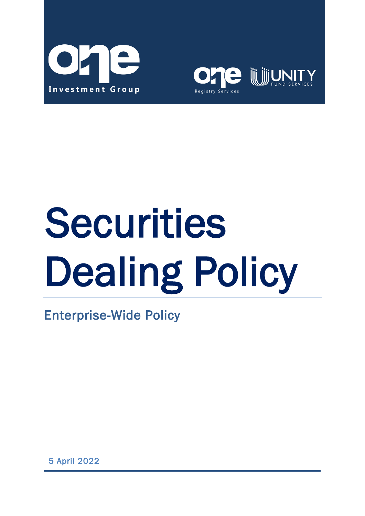



# **Securities** Dealing Policy

Enterprise-Wide Policy

5 April 2022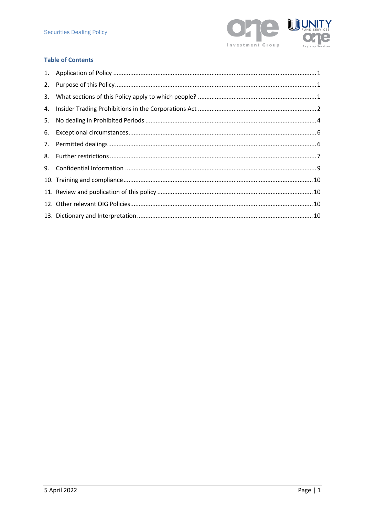

## **Table of Contents**

| 2. |  |
|----|--|
|    |  |
|    |  |
|    |  |
|    |  |
|    |  |
|    |  |
|    |  |
|    |  |
|    |  |
|    |  |
|    |  |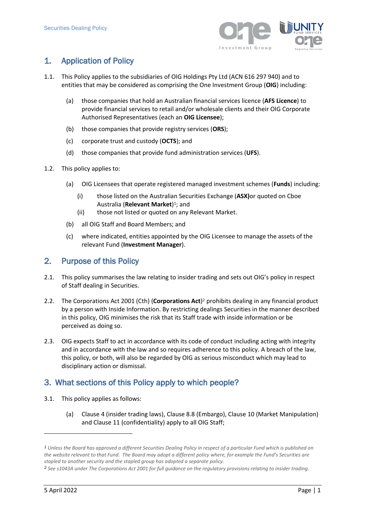

# <span id="page-2-0"></span>1. Application of Policy

- <span id="page-2-3"></span>1.1. This Policy applies to the subsidiaries of OIG Holdings Pty Ltd (ACN 616 297 940) and to entities that may be considered as comprising the One Investment Group (**OIG**) including:
	- (a) those companies that hold an Australian financial services licence (**AFS Licence**) to provide financial services to retail and/or wholesale clients and their OIG Corporate Authorised Representatives (each an **OIG Licensee**);
	- (b) those companies that provide registry services (**ORS**);
	- (c) corporate trust and custody (**OCTS**); and
	- (d) those companies that provide fund administration services (**UFS**).
- 1.2. This policy applies to:
	- (a) OIG Licensees that operate registered managed investment schemes (**Funds**) including:
		- (i) those listed on the Australian Securities Exchange (**ASX)**or quoted on Cboe Australia (**Relevant Market**) <sup>1</sup>; and
		- (ii) those not listed or quoted on any Relevant Market.
	- (b) all OIG Staff and Board Members; and
	- (c) where indicated, entities appointed by the OIG Licensee to manage the assets of the relevant Fund (**Investment Manager**).

# <span id="page-2-1"></span>2. Purpose of this Policy

- 2.1. This policy summarises the law relating to insider trading and sets out OIG's policy in respect of Staff dealing in Securities.
- 2.2. The Corporations Act 2001 (Cth) (Corporations Act)<sup>2</sup> prohibits dealing in any financial product by a person with Inside Information. By restricting dealings Securities in the manner described in this policy, OIG minimises the risk that its Staff trade with inside information or be perceived as doing so.
- 2.3. OIG expects Staff to act in accordance with its code of conduct including acting with integrity and in accordance with the law and so requires adherence to this policy. A breach of the law, this policy, or both, will also be regarded by OIG as serious misconduct which may lead to disciplinary action or dismissal.

# <span id="page-2-2"></span>3. What sections of this Policy apply to which people?

- 3.1. This policy applies as follows:
	- (a) Clause [4](#page-3-0) (insider trading laws), Clause [8.8](#page-9-0) (Embargo), Clause [10](#page-10-1) (Market Manipulation) and Clause [11](#page-10-0) (confidentiality) apply to all OIG Staff;

*<sup>1</sup> Unless the Board has approved a different Securities Dealing Policy in respect of a particular Fund which is published on the website relevant to that Fund. The Board may adopt a different policy where, for example the Fund's Securities are stapled to another security and the stapled group has adopted a separate policy.*

*<sup>2</sup> See s1043A under The Corporations Act 2001 for full guidance on the regulatory provisions relating to insider trading.*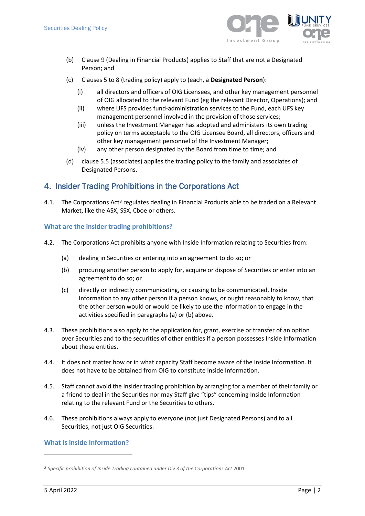

- (b) Clause [9](#page-9-1) (Dealing in Financial Products) applies to Staff that are not a Designated Person; and
- (c) Clauses [5](#page-5-0) to [8](#page-8-0) (trading policy) apply to (each, a **Designated Person**):
	- (i) all directors and officers of OIG Licensees, and other key management personnel of OIG allocated to the relevant Fund (eg the relevant Director, Operations); and
	- (ii) where UFS provides fund-administration services to the Fund, each UFS key management personnel involved in the provision of those services;
	- (iii) unless the Investment Manager has adopted and administers its own trading policy on terms acceptable to the OIG Licensee Board, all directors, officers and other key management personnel of the Investment Manager;
	- (iv) any other person designated by the Board from time to time; and
- (d) claus[e 5.5](#page-6-0) (associates) applies the trading policy to the family and associates of Designated Persons.

# <span id="page-3-0"></span>4. Insider Trading Prohibitions in the Corporations Act

4.1. The Corporations Act<sup>3</sup> regulates dealing in Financial Products able to be traded on a Relevant Market, like the ASX, SSX, Cboe or others.

#### **What are the insider trading prohibitions?**

- 4.2. The Corporations Act prohibits anyone with Inside Information relating to Securities from:
	- (a) dealing in Securities or entering into an agreement to do so; or
	- (b) procuring another person to apply for, acquire or dispose of Securities or enter into an agreement to do so; or
	- (c) directly or indirectly communicating, or causing to be communicated, Inside Information to any other person if a person knows, or ought reasonably to know, that the other person would or would be likely to use the information to engage in the activities specified in paragraphs (a) or (b) above.
- 4.3. These prohibitions also apply to the application for, grant, exercise or transfer of an option over Securities and to the securities of other entities if a person possesses Inside Information about those entities.
- 4.4. It does not matter how or in what capacity Staff become aware of the Inside Information. It does not have to be obtained from OIG to constitute Inside Information.
- 4.5. Staff cannot avoid the insider trading prohibition by arranging for a member of their family or a friend to deal in the Securities nor may Staff give "tips" concerning Inside Information relating to the relevant Fund or the Securities to others.
- 4.6. These prohibitions always apply to everyone (not just Designated Persons) and to all Securities, not just OIG Securities.

## **What is inside Information?**

*<sup>3</sup> Specific prohibition of Inside Trading contained under Div 3 of the Corporations Act* 2001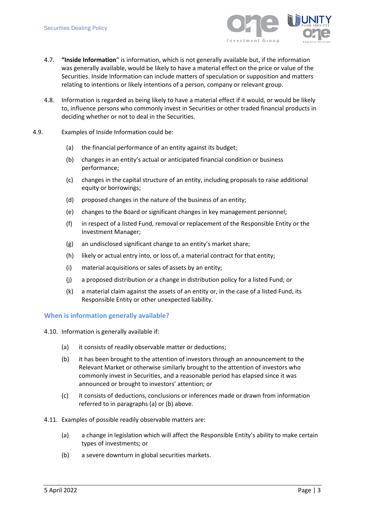

- 4.7. **"Inside Information**" is information, which is not generally available but, if the information was generally available, would be likely to have a material effect on the price or value of the Securities. Inside Information can include matters of speculation or supposition and matters relating to intentions or likely intentions of a person, company or relevant group.
- 4.8. Information is regarded as being likely to have a material effect if it would, or would be likely to, influence persons who commonly invest in Securities or other traded financial products in deciding whether or not to deal in the Securities.
- 4.9. Examples of Inside Information could be:
	- (a) the financial performance of an entity against its budget;
	- (b) changes in an entity's actual or anticipated financial condition or business performance;
	- (c) changes in the capital structure of an entity, including proposals to raise additional equity or borrowings;
	- (d) proposed changes in the nature of the business of an entity;
	- (e) changes to the Board or significant changes in key management personnel;
	- (f) in respect of a listed Fund, removal or replacement of the Responsible Entity or the Investment Manager;
	- (g) an undisclosed significant change to an entity's market share;
	- (h) likely or actual entry into, or loss of, a material contract for that entity;
	- (i) material acquisitions or sales of assets by an entity;
	- (j) a proposed distribution or a change in distribution policy for a listed Fund; or
	- (k) a material claim against the assets of an entity or, in the case of a listed Fund, its Responsible Entity or other unexpected liability.

#### **When is information generally available?**

- 4.10. Information is generally available if:
	- (a) it consists of readily observable matter or deductions;
	- (b) it has been brought to the attention of investors through an announcement to the Relevant Market or otherwise similarly brought to the attention of investors who commonly invest in Securities, and a reasonable period has elapsed since it was announced or brought to investors' attention; or
	- (c) it consists of deductions, conclusions or inferences made or drawn from information referred to in paragraphs (a) or (b) above.
- 4.11. Examples of possible readily observable matters are:
	- (a) a change in legislation which will affect the Responsible Entity's ability to make certain types of investments; or
	- (b) a severe downturn in global securities markets.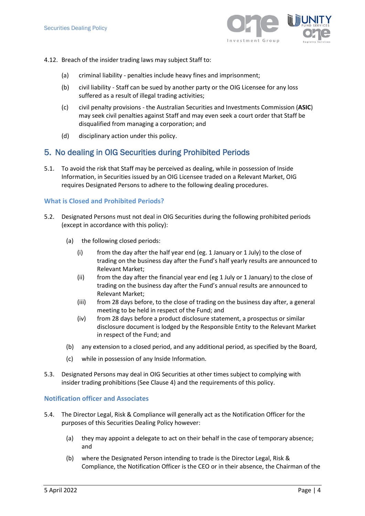

- 4.12. Breach of the insider trading laws may subject Staff to:
	- (a) criminal liability penalties include heavy fines and imprisonment;
	- (b) civil liability Staff can be sued by another party or the OIG Licensee for any loss suffered as a result of illegal trading activities;
	- (c) civil penalty provisions the Australian Securities and Investments Commission (**ASIC**) may seek civil penalties against Staff and may even seek a court order that Staff be disqualified from managing a corporation; and
	- (d) disciplinary action under this policy.

## <span id="page-5-0"></span>5. No dealing in OIG Securities during Prohibited Periods

5.1. To avoid the risk that Staff may be perceived as dealing, while in possession of Inside Information, in Securities issued by an OIG Licensee traded on a Relevant Market, OIG requires Designated Persons to adhere to the following dealing procedures.

## **What is Closed and Prohibited Periods?**

- <span id="page-5-1"></span>5.2. Designated Persons must not deal in OIG Securities during the following prohibited periods (except in accordance with this policy):
	- (a) the following closed periods:
		- (i) from the day after the half year end (eg. 1 January or 1 July) to the close of trading on the business day after the Fund's half yearly results are announced to Relevant Market;
		- (ii) from the day after the financial year end (eg 1 July or 1 January) to the close of trading on the business day after the Fund's annual results are announced to Relevant Market;
		- (iii) from 28 days before, to the close of trading on the business day after, a general meeting to be held in respect of the Fund; and
		- (iv) from 28 days before a product disclosure statement, a prospectus or similar disclosure document is lodged by the Responsible Entity to the Relevant Market in respect of the Fund; and
	- (b) any extension to a closed period, and any additional period, as specified by the Board,
	- (c) while in possession of any Inside Information.
- 5.3. Designated Persons may deal in OIG Securities at other times subject to complying with insider trading prohibitions (See Claus[e 4\)](#page-3-0) and the requirements of this policy.

#### **Notification officer and Associates**

- 5.4. The Director Legal, Risk & Compliance will generally act as the Notification Officer for the purposes of this Securities Dealing Policy however:
	- (a) they may appoint a delegate to act on their behalf in the case of temporary absence; and
	- (b) where the Designated Person intending to trade is the Director Legal, Risk & Compliance, the Notification Officer is the CEO or in their absence, the Chairman of the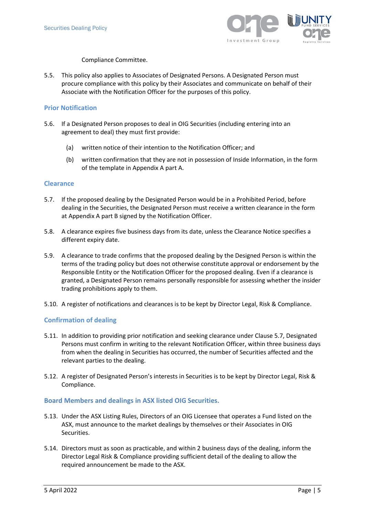

#### Compliance Committee.

<span id="page-6-0"></span>5.5. This policy also applies to Associates of Designated Persons. A Designated Person must procure compliance with this policy by their Associates and communicate on behalf of their Associate with the Notification Officer for the purposes of this policy.

#### **Prior Notification**

- 5.6. If a Designated Person proposes to deal in OIG Securities (including entering into an agreement to deal) they must first provide:
	- (a) written notice of their intention to the Notification Officer; and
	- (b) written confirmation that they are not in possession of Inside Information, in the form of the template in Appendix A part A.

#### **Clearance**

- <span id="page-6-1"></span>5.7. If the proposed dealing by the Designated Person would be in a Prohibited Period, before dealing in the Securities, the Designated Person must receive a written clearance in the form at Appendix A part B signed by the Notification Officer.
- 5.8. A clearance expires five business days from its date, unless the Clearance Notice specifies a different expiry date.
- 5.9. A clearance to trade confirms that the proposed dealing by the Designed Person is within the terms of the trading policy but does not otherwise constitute approval or endorsement by the Responsible Entity or the Notification Officer for the proposed dealing. Even if a clearance is granted, a Designated Person remains personally responsible for assessing whether the insider trading prohibitions apply to them.
- 5.10. A register of notifications and clearances is to be kept by Director Legal, Risk & Compliance.

## **Confirmation of dealing**

- 5.11. In addition to providing prior notification and seeking clearance under Claus[e 5.7,](#page-6-1) Designated Persons must confirm in writing to the relevant Notification Officer, within three business days from when the dealing in Securities has occurred, the number of Securities affected and the relevant parties to the dealing.
- 5.12. A register of Designated Person's interests in Securities is to be kept by Director Legal, Risk & Compliance.

#### **Board Members and dealings in ASX listed OIG Securities.**

- 5.13. Under the ASX Listing Rules, Directors of an OIG Licensee that operates a Fund listed on the ASX, must announce to the market dealings by themselves or their Associates in OIG Securities.
- 5.14. Directors must as soon as practicable, and within 2 business days of the dealing, inform the Director Legal Risk & Compliance providing sufficient detail of the dealing to allow the required announcement be made to the ASX.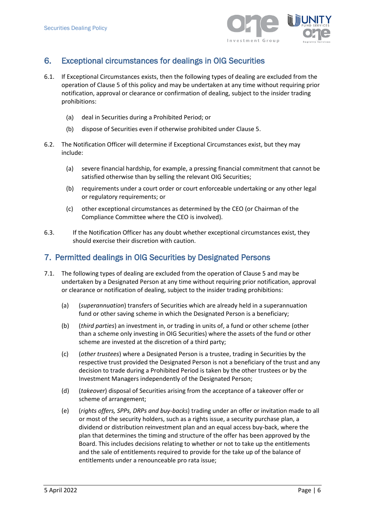

# <span id="page-7-0"></span>6. Exceptional circumstances for dealings in OIG Securities

- 6.1. If Exceptional Circumstances exists, then the following types of dealing are excluded from the operation of Clause [5](#page-5-0) of this policy and may be undertaken at any time without requiring prior notification, approval or clearance or confirmation of dealing, subject to the insider trading prohibitions:
	- (a) deal in Securities during a Prohibited Period; or
	- (b) dispose of Securities even if otherwise prohibited under Clause [5.](#page-5-0)
- 6.2. The Notification Officer will determine if Exceptional Circumstances exist, but they may include:
	- (a) severe financial hardship, for example, a pressing financial commitment that cannot be satisfied otherwise than by selling the relevant OIG Securities;
	- (b) requirements under a court order or court enforceable undertaking or any other legal or regulatory requirements; or
	- (c) other exceptional circumstances as determined by the CEO (or Chairman of the Compliance Committee where the CEO is involved).
- 6.3. If the Notification Officer has any doubt whether exceptional circumstances exist, they should exercise their discretion with caution.

## <span id="page-7-1"></span>7. Permitted dealings in OIG Securities by Designated Persons

- 7.1. The following types of dealing are excluded from the operation of Clause [5](#page-5-0) and may be undertaken by a Designated Person at any time without requiring prior notification, approval or clearance or notification of dealing, subject to the insider trading prohibitions:
	- (a) (*superannuation*) transfers of Securities which are already held in a superannuation fund or other saving scheme in which the Designated Person is a beneficiary;
	- (b) (*third parties*) an investment in, or trading in units of, a fund or other scheme (other than a scheme only investing in OIG Securities) where the assets of the fund or other scheme are invested at the discretion of a third party;
	- (c) (*other trustees*) where a Designated Person is a trustee, trading in Securities by the respective trust provided the Designated Person is not a beneficiary of the trust and any decision to trade during a Prohibited Period is taken by the other trustees or by the Investment Managers independently of the Designated Person;
	- (d) (*takeover*) disposal of Securities arising from the acceptance of a takeover offer or scheme of arrangement;
	- (e) (*rights offers, SPPs, DRPs and buy-backs*) trading under an offer or invitation made to all or most of the security holders, such as a rights issue, a security purchase plan, a dividend or distribution reinvestment plan and an equal access buy-back, where the plan that determines the timing and structure of the offer has been approved by the Board. This includes decisions relating to whether or not to take up the entitlements and the sale of entitlements required to provide for the take up of the balance of entitlements under a renounceable pro rata issue;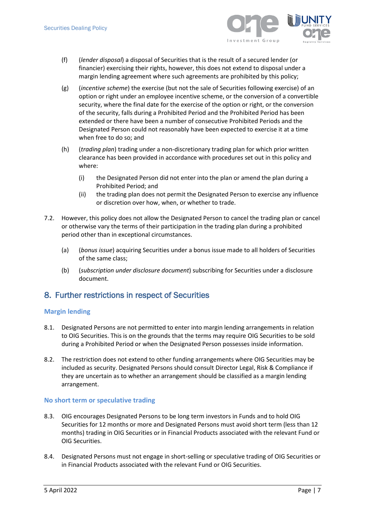

- (f) (*lender disposal*) a disposal of Securities that is the result of a secured lender (or financier) exercising their rights, however, this does not extend to disposal under a margin lending agreement where such agreements are prohibited by this policy;
- (g) (*incentive scheme*) the exercise (but not the sale of Securities following exercise) of an option or right under an employee incentive scheme, or the conversion of a convertible security, where the final date for the exercise of the option or right, or the conversion of the security, falls during a Prohibited Period and the Prohibited Period has been extended or there have been a number of consecutive Prohibited Periods and the Designated Person could not reasonably have been expected to exercise it at a time when free to do so; and
- (h) (*trading plan*) trading under a non-discretionary trading plan for which prior written clearance has been provided in accordance with procedures set out in this policy and where:
	- (i) the Designated Person did not enter into the plan or amend the plan during a Prohibited Period; and
	- (ii) the trading plan does not permit the Designated Person to exercise any influence or discretion over how, when, or whether to trade.
- 7.2. However, this policy does not allow the Designated Person to cancel the trading plan or cancel or otherwise vary the terms of their participation in the trading plan during a prohibited period other than in exceptional circumstances.
	- (a) (*bonus issue*) acquiring Securities under a bonus issue made to all holders of Securities of the same class;
	- (b) (*subscription under disclosure document*) subscribing for Securities under a disclosure document.

# <span id="page-8-0"></span>8. Further restrictions in respect of Securities

#### **Margin lending**

- 8.1. Designated Persons are not permitted to enter into margin lending arrangements in relation to OIG Securities. This is on the grounds that the terms may require OIG Securities to be sold during a Prohibited Period or when the Designated Person possesses inside information.
- 8.2. The restriction does not extend to other funding arrangements where OIG Securities may be included as security. Designated Persons should consult Director Legal, Risk & Compliance if they are uncertain as to whether an arrangement should be classified as a margin lending arrangement.

#### **No short term or speculative trading**

- 8.3. OIG encourages Designated Persons to be long term investors in Funds and to hold OIG Securities for 12 months or more and Designated Persons must avoid short term (less than 12 months) trading in OIG Securities or in Financial Products associated with the relevant Fund or OIG Securities.
- 8.4. Designated Persons must not engage in short-selling or speculative trading of OIG Securities or in Financial Products associated with the relevant Fund or OIG Securities.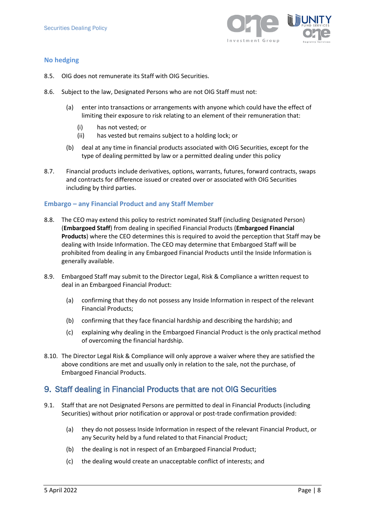

## **No hedging**

- 8.5. OIG does not remunerate its Staff with OIG Securities.
- 8.6. Subject to the law, Designated Persons who are not OIG Staff must not:
	- (a) enter into transactions or arrangements with anyone which could have the effect of limiting their exposure to risk relating to an element of their remuneration that:
		- (i) has not vested; or
		- (ii) has vested but remains subject to a holding lock; or
	- (b) deal at any time in financial products associated with OIG Securities, except for the type of dealing permitted by law or a permitted dealing under this policy
- 8.7. Financial products include derivatives, options, warrants, futures, forward contracts, swaps and contracts for difference issued or created over or associated with OIG Securities including by third parties.

#### **Embargo – any Financial Product and any Staff Member**

- <span id="page-9-0"></span>8.8. The CEO may extend this policy to restrict nominated Staff (including Designated Person) (**Embargoed Staff**) from dealing in specified Financial Products (**Embargoed Financial Products**) where the CEO determines this is required to avoid the perception that Staff may be dealing with Inside Information. The CEO may determine that Embargoed Staff will be prohibited from dealing in any Embargoed Financial Products until the Inside Information is generally available.
- 8.9. Embargoed Staff may submit to the Director Legal, Risk & Compliance a written request to deal in an Embargoed Financial Product:
	- (a) confirming that they do not possess any Inside Information in respect of the relevant Financial Products;
	- (b) confirming that they face financial hardship and describing the hardship; and
	- (c) explaining why dealing in the Embargoed Financial Product is the only practical method of overcoming the financial hardship.
- 8.10. The Director Legal Risk & Compliance will only approve a waiver where they are satisfied the above conditions are met and usually only in relation to the sale, not the purchase, of Embargoed Financial Products.

# <span id="page-9-1"></span>9. Staff dealing in Financial Products that are not OIG Securities

- 9.1. Staff that are not Designated Persons are permitted to deal in Financial Products (including Securities) without prior notification or approval or post-trade confirmation provided:
	- (a) they do not possess Inside Information in respect of the relevant Financial Product, or any Security held by a fund related to that Financial Product;
	- (b) the dealing is not in respect of an Embargoed Financial Product;
	- (c) the dealing would create an unacceptable conflict of interests; and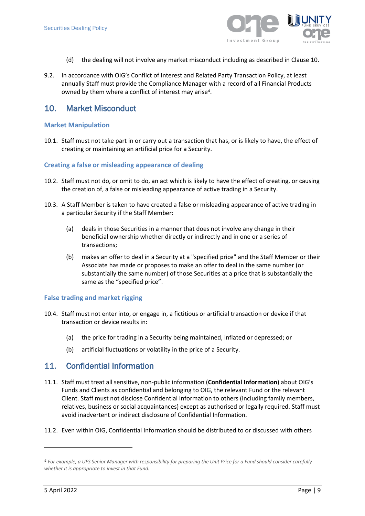

- (d) the dealing will not involve any market misconduct including as described in Claus[e 10.](#page-10-1)
- 9.2. In accordance with OIG's Conflict of Interest and Related Party Transaction Policy, at least annually Staff must provide the Compliance Manager with a record of all Financial Products owned by them where a conflict of interest may arise4.

## <span id="page-10-1"></span>10. Market Misconduct

#### **Market Manipulation**

10.1. Staff must not take part in or carry out a transaction that has, or is likely to have, the effect of creating or maintaining an artificial price for a Security.

#### **Creating a false or misleading appearance of dealing**

- 10.2. Staff must not do, or omit to do, an act which is likely to have the effect of creating, or causing the creation of, a false or misleading appearance of active trading in a Security.
- 10.3. A Staff Member is taken to have created a false or misleading appearance of active trading in a particular Security if the Staff Member:
	- (a) deals in those Securities in a manner that does not involve any change in their beneficial ownership whether directly or indirectly and in one or a series of transactions;
	- (b) makes an offer to deal in a Security at a "specified price" and the Staff Member or their Associate has made or proposes to make an offer to deal in the same number (or substantially the same number) of those Securities at a price that is substantially the same as the "specified price".

#### **False trading and market rigging**

- 10.4. Staff must not enter into, or engage in, a fictitious or artificial transaction or device if that transaction or device results in:
	- (a) the price for trading in a Security being maintained, inflated or depressed; or
	- (b) artificial fluctuations or volatility in the price of a Security.

## <span id="page-10-0"></span>11. Confidential Information

- 11.1. Staff must treat all sensitive, non-public information (**Confidential Information**) about OIG's Funds and Clients as confidential and belonging to OIG, the relevant Fund or the relevant Client. Staff must not disclose Confidential Information to others (including family members, relatives, business or social acquaintances) except as authorised or legally required. Staff must avoid inadvertent or indirect disclosure of Confidential Information.
- 11.2. Even within OIG, Confidential Information should be distributed to or discussed with others

*<sup>4</sup> For example, a UFS Senior Manager with responsibility for preparing the Unit Price for a Fund should consider carefully whether it is appropriate to invest in that Fund.*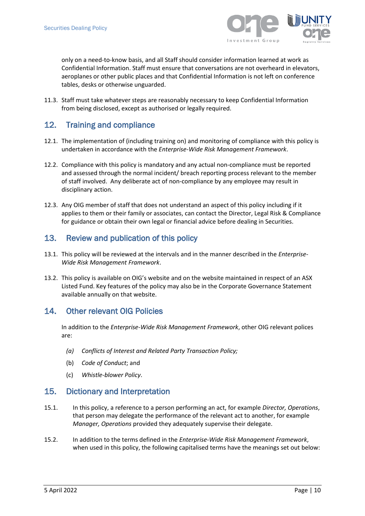

only on a need-to-know basis, and all Staff should consider information learned at work as Confidential Information. Staff must ensure that conversations are not overheard in elevators, aeroplanes or other public places and that Confidential Information is not left on conference tables, desks or otherwise unguarded.

11.3. Staff must take whatever steps are reasonably necessary to keep Confidential Information from being disclosed, except as authorised or legally required.

# <span id="page-11-0"></span>12. Training and compliance

- 12.1. The implementation of (including training on) and monitoring of compliance with this policy is undertaken in accordance with the *Enterprise-Wide Risk Management Framework*.
- 12.2. Compliance with this policy is mandatory and any actual non-compliance must be reported and assessed through the normal incident/ breach reporting process relevant to the member of staff involved. Any deliberate act of non-compliance by any employee may result in disciplinary action.
- 12.3. Any OIG member of staff that does not understand an aspect of this policy including if it applies to them or their family or associates, can contact the Director, Legal Risk & Compliance for guidance or obtain their own legal or financial advice before dealing in Securities.

## <span id="page-11-1"></span>13. Review and publication of this policy

- 13.1. This policy will be reviewed at the intervals and in the manner described in the *Enterprise-Wide Risk Management Framework*.
- 13.2. This policy is available on OIG's website and on the website maintained in respect of an ASX Listed Fund. Key features of the policy may also be in the Corporate Governance Statement available annually on that website.

## <span id="page-11-3"></span><span id="page-11-2"></span>14. Other relevant OIG Policies

In addition to the *Enterprise-Wide Risk Management Framework*, other OIG relevant polices are:

- *(a) Conflicts of Interest and Related Party Transaction Policy;*
- (b) *Code of Conduct*; and
- (c) *Whistle-blower Policy*.

## 15. Dictionary and Interpretation

- 15.1. In this policy, a reference to a person performing an act, for example *Director, Operations*, that person may delegate the performance of the relevant act to another, for example *Manager, Operations* provided they adequately supervise their delegate.
- 15.2. In addition to the terms defined in the *Enterprise-Wide Risk Management Framework*, when used in this policy, the following capitalised terms have the meanings set out below: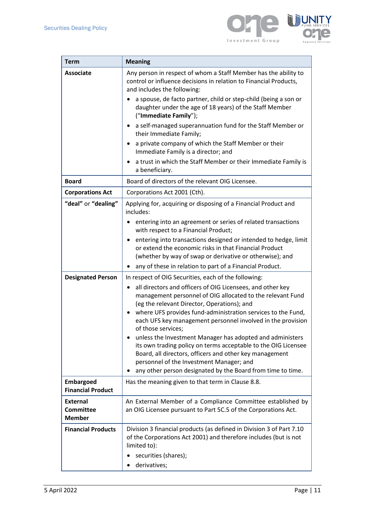

TΥ

| <b>Term</b>                                          | <b>Meaning</b>                                                                                                                                                                                                                                                                                                                                                                                                                                                                                                                                                                                                                                      |  |
|------------------------------------------------------|-----------------------------------------------------------------------------------------------------------------------------------------------------------------------------------------------------------------------------------------------------------------------------------------------------------------------------------------------------------------------------------------------------------------------------------------------------------------------------------------------------------------------------------------------------------------------------------------------------------------------------------------------------|--|
| <b>Associate</b>                                     | Any person in respect of whom a Staff Member has the ability to<br>control or influence decisions in relation to Financial Products,<br>and includes the following:<br>a spouse, de facto partner, child or step-child (being a son or<br>daughter under the age of 18 years) of the Staff Member<br>("Immediate Family");<br>a self-managed superannuation fund for the Staff Member or<br>٠<br>their Immediate Family;<br>a private company of which the Staff Member or their<br>Immediate Family is a director; and<br>a trust in which the Staff Member or their Immediate Family is<br>a beneficiary.                                         |  |
| <b>Board</b>                                         | Board of directors of the relevant OIG Licensee.                                                                                                                                                                                                                                                                                                                                                                                                                                                                                                                                                                                                    |  |
| <b>Corporations Act</b>                              | Corporations Act 2001 (Cth).                                                                                                                                                                                                                                                                                                                                                                                                                                                                                                                                                                                                                        |  |
| "deal" or "dealing"                                  | Applying for, acquiring or disposing of a Financial Product and<br>includes:<br>entering into an agreement or series of related transactions<br>with respect to a Financial Product;<br>entering into transactions designed or intended to hedge, limit<br>$\bullet$<br>or extend the economic risks in that Financial Product<br>(whether by way of swap or derivative or otherwise); and<br>any of these in relation to part of a Financial Product.                                                                                                                                                                                              |  |
| <b>Designated Person</b>                             | In respect of OIG Securities, each of the following:                                                                                                                                                                                                                                                                                                                                                                                                                                                                                                                                                                                                |  |
|                                                      | all directors and officers of OIG Licensees, and other key<br>٠<br>management personnel of OIG allocated to the relevant Fund<br>(eg the relevant Director, Operations); and<br>where UFS provides fund-administration services to the Fund,<br>$\bullet$<br>each UFS key management personnel involved in the provision<br>of those services;<br>unless the Investment Manager has adopted and administers<br>its own trading policy on terms acceptable to the OIG Licensee<br>Board, all directors, officers and other key management<br>personnel of the Investment Manager; and<br>any other person designated by the Board from time to time. |  |
| <b>Embargoed</b><br><b>Financial Product</b>         | Has the meaning given to that term in Clause 8.8.                                                                                                                                                                                                                                                                                                                                                                                                                                                                                                                                                                                                   |  |
| <b>External</b><br><b>Committee</b><br><b>Member</b> | An External Member of a Compliance Committee established by<br>an OIG Licensee pursuant to Part 5C.5 of the Corporations Act.                                                                                                                                                                                                                                                                                                                                                                                                                                                                                                                       |  |
| <b>Financial Products</b>                            | Division 3 financial products (as defined in Division 3 of Part 7.10<br>of the Corporations Act 2001) and therefore includes (but is not<br>limited to):<br>securities (shares);<br>derivatives;                                                                                                                                                                                                                                                                                                                                                                                                                                                    |  |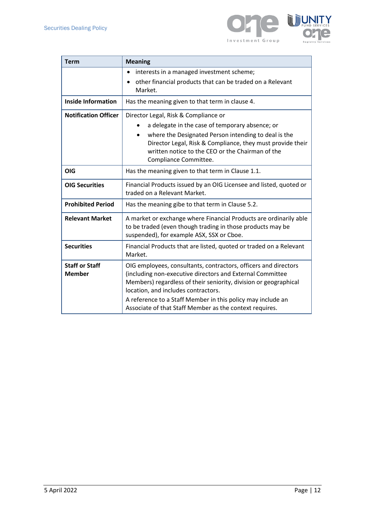

| <b>Term</b>                            | <b>Meaning</b>                                                                                                                                                                                                                                                                                                                                                    |
|----------------------------------------|-------------------------------------------------------------------------------------------------------------------------------------------------------------------------------------------------------------------------------------------------------------------------------------------------------------------------------------------------------------------|
|                                        | interests in a managed investment scheme;<br>other financial products that can be traded on a Relevant<br>Market.                                                                                                                                                                                                                                                 |
| <b>Inside Information</b>              | Has the meaning given to that term in clause 4.                                                                                                                                                                                                                                                                                                                   |
| <b>Notification Officer</b>            | Director Legal, Risk & Compliance or<br>a delegate in the case of temporary absence; or<br>where the Designated Person intending to deal is the<br>Director Legal, Risk & Compliance, they must provide their<br>written notice to the CEO or the Chairman of the<br>Compliance Committee.                                                                        |
| <b>OIG</b>                             | Has the meaning given to that term in Clause 1.1.                                                                                                                                                                                                                                                                                                                 |
| <b>OIG Securities</b>                  | Financial Products issued by an OIG Licensee and listed, quoted or<br>traded on a Relevant Market.                                                                                                                                                                                                                                                                |
| <b>Prohibited Period</b>               | Has the meaning gibe to that term in Clause 5.2.                                                                                                                                                                                                                                                                                                                  |
| <b>Relevant Market</b>                 | A market or exchange where Financial Products are ordinarily able<br>to be traded (even though trading in those products may be<br>suspended), for example ASX, SSX or Cboe.                                                                                                                                                                                      |
| <b>Securities</b>                      | Financial Products that are listed, quoted or traded on a Relevant<br>Market.                                                                                                                                                                                                                                                                                     |
| <b>Staff or Staff</b><br><b>Member</b> | OIG employees, consultants, contractors, officers and directors<br>(including non-executive directors and External Committee<br>Members) regardless of their seniority, division or geographical<br>location, and includes contractors.<br>A reference to a Staff Member in this policy may include an<br>Associate of that Staff Member as the context requires. |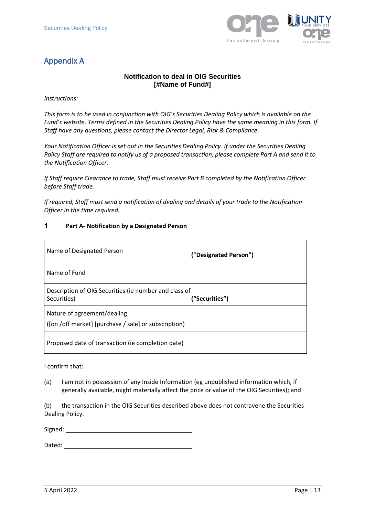

# Appendix A

## **Notification to deal in OIG Securities [#Name of Fund#]**

*Instructions:*

*This form is to be used in conjunction with OIG's Securities Dealing Policy which is available on the Fund's website. Terms defined in the Securities Dealing Policy have the same meaning in this form. If Staff have any questions, please contact the Director Legal, Risk & Compliance.*

*Your Notification Officer is set out in the Securities Dealing Policy. If under the Securities Dealing Policy Staff are required to notify us of a proposed transaction, please complete Part A and send it to the Notification Officer.*

*If Staff require Clearance to trade, Staff must receive Part B completed by the Notification Officer before Staff trade.*

*If required, Staff must send a notification of dealing and details of your trade to the Notification Officer in the time required.*

#### **1 Part A- Notification by a Designated Person**

| Name of Designated Person                                                           | "Designated Person") |
|-------------------------------------------------------------------------------------|----------------------|
| Name of Fund                                                                        |                      |
| Description of OIG Securities (ie number and class of<br>Securities)                | "Securities")        |
| Nature of agreement/dealing<br>([on /off market] [purchase / sale] or subscription) |                      |
| Proposed date of transaction (ie completion date)                                   |                      |

I confirm that:

(a) I am not in possession of any Inside Information (eg unpublished information which, if generally available, might materially affect the price or value of the OIG Securities); and

(b) the transaction in the OIG Securities described above does not contravene the Securities Dealing Policy.

Signed: **Signed: Signed: Signed: Signed: Signed: Signed: Signed: Signed: Signed: Signed: Signed: Signed: Signed: Signed: Signed: Signed: Signed: Signed: Signed: Signed: Signed: Sig** 

Dated: